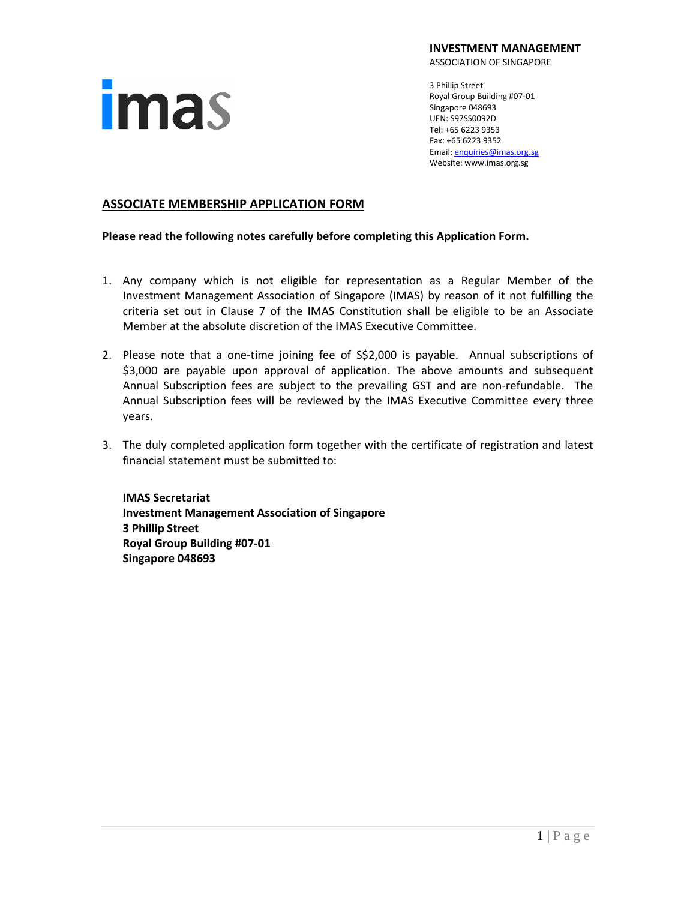

**INVESTMENT MANAGEMENT**

ASSOCIATION OF SINGAPORE

3 Phillip Street Royal Group Building #07-01 Singapore 048693 UEN: S97SS0092D Tel: +65 6223 9353 Fax: +65 6223 9352 Email[: enquiries@imas.org.sg](mailto:enquiries@imas.org.sg) Website: www.imas.org.sg

# **ASSOCIATE MEMBERSHIP APPLICATION FORM**

**Please read the following notes carefully before completing this Application Form.**

- 1. Any company which is not eligible for representation as a Regular Member of the Investment Management Association of Singapore (IMAS) by reason of it not fulfilling the criteria set out in Clause 7 of the IMAS Constitution shall be eligible to be an Associate Member at the absolute discretion of the IMAS Executive Committee.
- 2. Please note that a one-time joining fee of S\$2,000 is payable. Annual subscriptions of \$3,000 are payable upon approval of application. The above amounts and subsequent Annual Subscription fees are subject to the prevailing GST and are non-refundable. The Annual Subscription fees will be reviewed by the IMAS Executive Committee every three years.
- 3. The duly completed application form together with the certificate of registration and latest financial statement must be submitted to:

**IMAS Secretariat Investment Management Association of Singapore 3 Phillip Street Royal Group Building #07-01 Singapore 048693**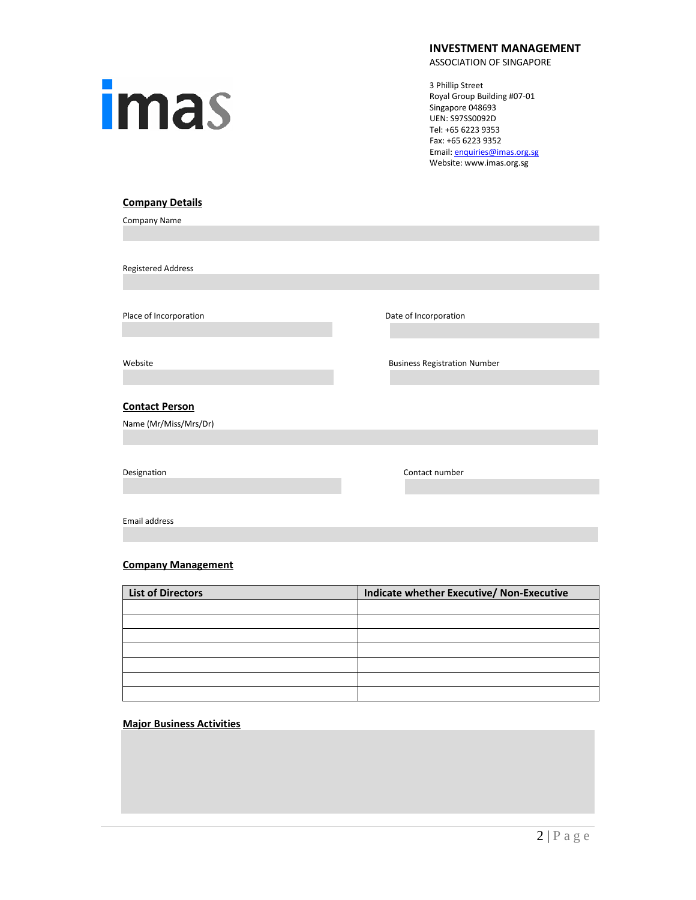

### **INVESTMENT MANAGEMENT**

ASSOCIATION OF SINGAPORE

3 Phillip Street Royal Group Building #07-01 Singapore 048693 UEN: S97SS0092D Tel: +65 6223 9353 Fax: +65 6223 9352 Email[: enquiries@imas.org.sg](mailto:enquiries@imas.org.sg) Website: www.imas.org.sg

### **Company Details**

Company Name

Registered Address

Place of Incorporation **Date of Incorporation** Date of Incorporation

### **Contact Person**

Name (Mr/Miss/Mrs/Dr)

Website **Music Community** Research Music Business Registration Number

Designation **Contact number** Contact number

Email address

### **Company Management**

| <b>List of Directors</b> | Indicate whether Executive/ Non-Executive |
|--------------------------|-------------------------------------------|
|                          |                                           |
|                          |                                           |
|                          |                                           |
|                          |                                           |
|                          |                                           |
|                          |                                           |
|                          |                                           |

### **Major Business Activities**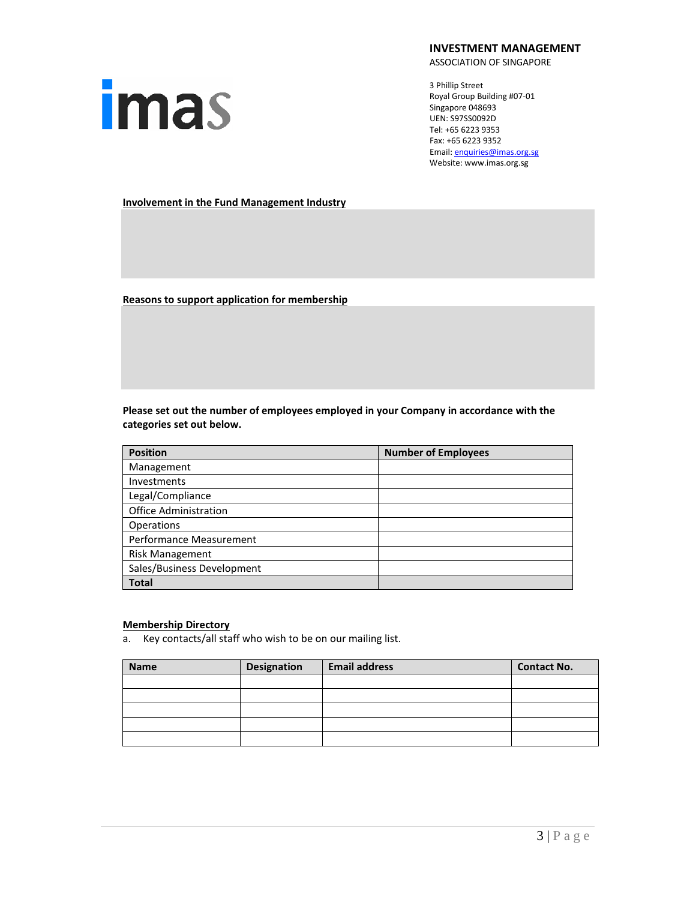# **imas**

### **INVESTMENT MANAGEMENT**

ASSOCIATION OF SINGAPORE

3 Phillip Street Royal Group Building #07-01 Singapore 048693 UEN: S97SS0092D Tel: +65 6223 9353 Fax: +65 6223 9352 Email[: enquiries@imas.org.sg](mailto:enquiries@imas.org.sg) Website: www.imas.org.sg

**Involvement in the Fund Management Industry**

**Reasons to support application for membership**

**Please set out the number of employees employed in your Company in accordance with the categories set out below.**

| <b>Position</b>              | <b>Number of Employees</b> |
|------------------------------|----------------------------|
| Management                   |                            |
| <b>Investments</b>           |                            |
| Legal/Compliance             |                            |
| <b>Office Administration</b> |                            |
| Operations                   |                            |
| Performance Measurement      |                            |
| <b>Risk Management</b>       |                            |
| Sales/Business Development   |                            |
| <b>Total</b>                 |                            |

## **Membership Directory**

a. Key contacts/all staff who wish to be on our mailing list.

| <b>Name</b> | <b>Designation</b> | <b>Email address</b> | <b>Contact No.</b> |
|-------------|--------------------|----------------------|--------------------|
|             |                    |                      |                    |
|             |                    |                      |                    |
|             |                    |                      |                    |
|             |                    |                      |                    |
|             |                    |                      |                    |